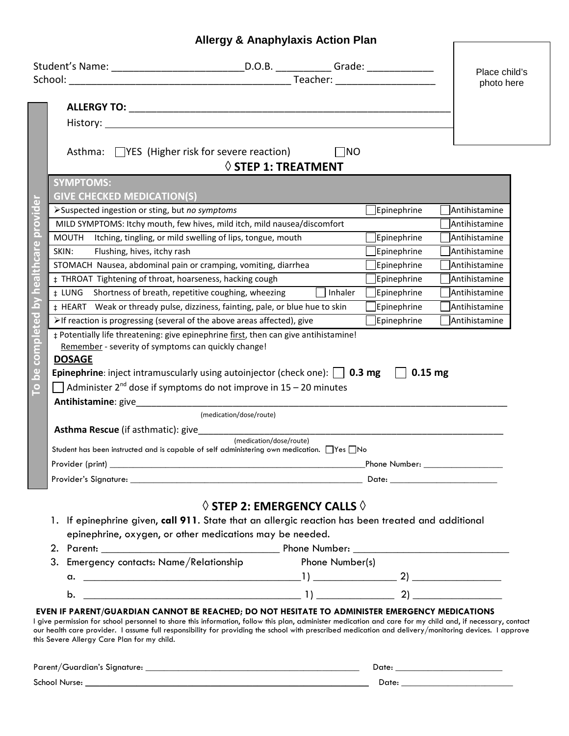## **Allergy & Anaphylaxis Action Plan**

| Asthma: $\Box$ YES (Higher risk for severe reaction)<br><b>SYMPTOMS:</b><br><b>GIVE CHECKED MEDICATION(S)</b><br>completed by healthcare provider<br>>Suspected ingestion or sting, but no symptoms<br>MOUTH Itching, tingling, or mild swelling of lips, tongue, mouth<br>SKIN:<br>Flushing, hives, itchy rash<br>STOMACH Nausea, abdominal pain or cramping, vomiting, diarrhea<br>‡ THROAT Tightening of throat, hoarseness, hacking cough<br>± LUNG Shortness of breath, repetitive coughing, wheezing<br>>If reaction is progressing (several of the above areas affected), give<br>Remember - severity of symptoms can quickly change! | $\Diamond$ STEP 1: TREATMENT<br>MILD SYMPTOMS: Itchy mouth, few hives, mild itch, mild nausea/discomfort<br>Inhaler<br># HEART Weak or thready pulse, dizziness, fainting, pale, or blue hue to skin<br># Potentially life threatening: give epinephrine first, then can give antihistamine! | $\Box$ NO<br>$\Box$ Epinephrine<br>Epinephrine<br>Epinephrine<br>$\Box$ Epinephrine<br><b>Epinephrine</b><br>$\exists$ Epinephrine<br>Epinephrine<br>$\Box$ Epinephrine                                                        | Place child's<br>photo here<br>Antihistamine<br>Antihistamine<br>Antihistamine<br>Antihistamine<br>Antihistamine<br>Antihistamine<br>Antihistamine<br>Antihistamine<br>Antihistamine |  |
|----------------------------------------------------------------------------------------------------------------------------------------------------------------------------------------------------------------------------------------------------------------------------------------------------------------------------------------------------------------------------------------------------------------------------------------------------------------------------------------------------------------------------------------------------------------------------------------------------------------------------------------------|----------------------------------------------------------------------------------------------------------------------------------------------------------------------------------------------------------------------------------------------------------------------------------------------|--------------------------------------------------------------------------------------------------------------------------------------------------------------------------------------------------------------------------------|--------------------------------------------------------------------------------------------------------------------------------------------------------------------------------------|--|
| <b>DOSAGE</b><br>$\overline{9}$<br>$\overline{\mathbf{C}}$<br>Antihistamine: give___________                                                                                                                                                                                                                                                                                                                                                                                                                                                                                                                                                 | <b>Epinephrine</b> : inject intramuscularly using autoinjector (check one): $\Box$ 0.3 mg $\Box$ 0.15 mg<br>Administer $2^{nd}$ dose if symptoms do not improve in $15 - 20$ minutes                                                                                                         |                                                                                                                                                                                                                                |                                                                                                                                                                                      |  |
|                                                                                                                                                                                                                                                                                                                                                                                                                                                                                                                                                                                                                                              | (medication/dose/route)                                                                                                                                                                                                                                                                      |                                                                                                                                                                                                                                |                                                                                                                                                                                      |  |
| Asthma Rescue (if asthmatic): give__________________                                                                                                                                                                                                                                                                                                                                                                                                                                                                                                                                                                                         | (medication/dose/route)                                                                                                                                                                                                                                                                      |                                                                                                                                                                                                                                |                                                                                                                                                                                      |  |
|                                                                                                                                                                                                                                                                                                                                                                                                                                                                                                                                                                                                                                              | Student has been instructed and is capable of self administering own medication. □ Yes □ No                                                                                                                                                                                                  |                                                                                                                                                                                                                                |                                                                                                                                                                                      |  |
|                                                                                                                                                                                                                                                                                                                                                                                                                                                                                                                                                                                                                                              | Phone Number: Thomas Show Thomas Show Thomas Show Thomas Show Thomas Show Thomas Show Thomas Show Thomas Show T                                                                                                                                                                              |                                                                                                                                                                                                                                |                                                                                                                                                                                      |  |
|                                                                                                                                                                                                                                                                                                                                                                                                                                                                                                                                                                                                                                              |                                                                                                                                                                                                                                                                                              | Date: the contract of the contract of the contract of the contract of the contract of the contract of the contract of the contract of the contract of the contract of the contract of the contract of the contract of the cont |                                                                                                                                                                                      |  |
|                                                                                                                                                                                                                                                                                                                                                                                                                                                                                                                                                                                                                                              | $\Diamond$ STEP 2: EMERGENCY CALLS $\Diamond$<br>1. If epinephrine given, call 911. State that an allergic reaction has been treated and additional<br>epinephrine, oxygen, or other medications may be needed.                                                                              |                                                                                                                                                                                                                                |                                                                                                                                                                                      |  |
|                                                                                                                                                                                                                                                                                                                                                                                                                                                                                                                                                                                                                                              | 3. Emergency contacts: Name/Relationship Phone Number(s)                                                                                                                                                                                                                                     |                                                                                                                                                                                                                                |                                                                                                                                                                                      |  |
|                                                                                                                                                                                                                                                                                                                                                                                                                                                                                                                                                                                                                                              |                                                                                                                                                                                                                                                                                              |                                                                                                                                                                                                                                |                                                                                                                                                                                      |  |
| b.                                                                                                                                                                                                                                                                                                                                                                                                                                                                                                                                                                                                                                           | $(1)$ $(2)$ $(3)$                                                                                                                                                                                                                                                                            |                                                                                                                                                                                                                                |                                                                                                                                                                                      |  |
| EVEN IF PARENT/GUARDIAN CANNOT BE REACHED; DO NOT HESITATE TO ADMINISTER EMERGENCY MEDICATIONS<br>I give permission for school personnel to share this information, follow this plan, administer medication and care for my child and, if necessary, contact<br>our health care provider. I assume full responsibility for providing the school with prescribed medication and delivery/monitoring devices. I approve<br>this Severe Allergy Care Plan for my child.                                                                                                                                                                         |                                                                                                                                                                                                                                                                                              |                                                                                                                                                                                                                                |                                                                                                                                                                                      |  |
|                                                                                                                                                                                                                                                                                                                                                                                                                                                                                                                                                                                                                                              |                                                                                                                                                                                                                                                                                              |                                                                                                                                                                                                                                |                                                                                                                                                                                      |  |

| $\sim$ $\overline{\phantom{a}}$<br>School N<br>Nurse: | -<br>Dαte |  |
|-------------------------------------------------------|-----------|--|
|                                                       |           |  |